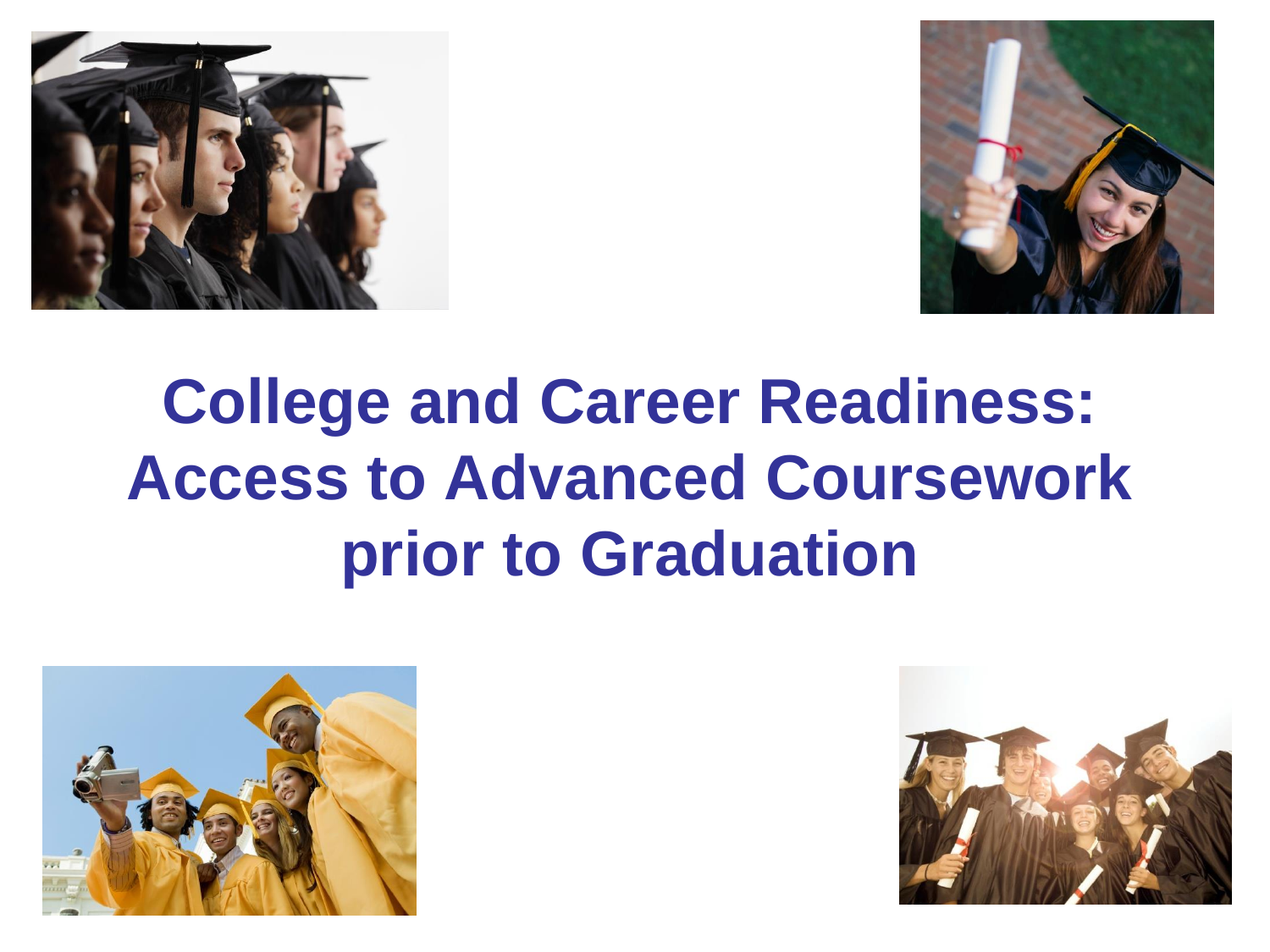



# **College and Career Readiness: Access to Advanced Coursework prior to Graduation**



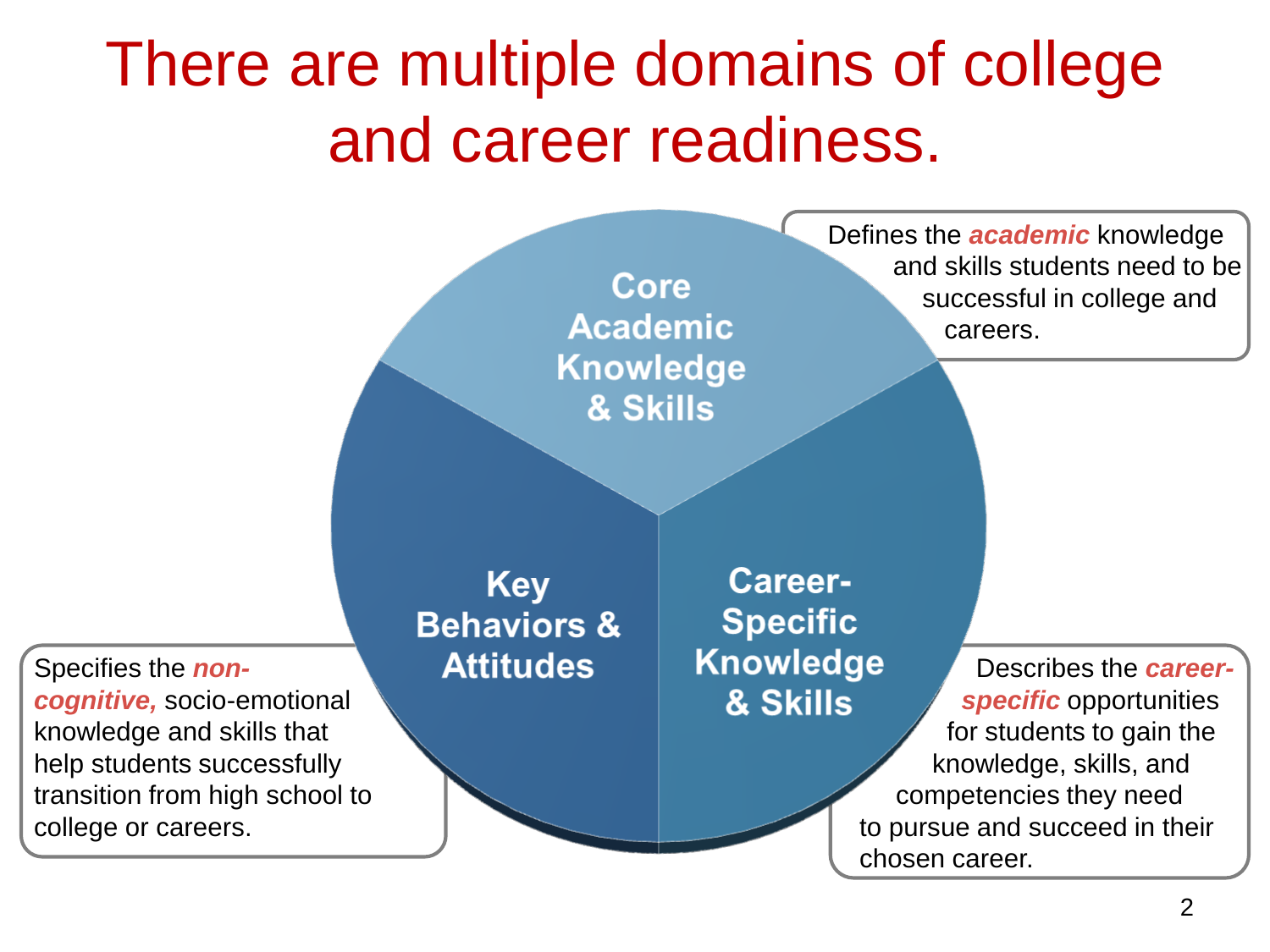# There are multiple domains of college and career readiness.

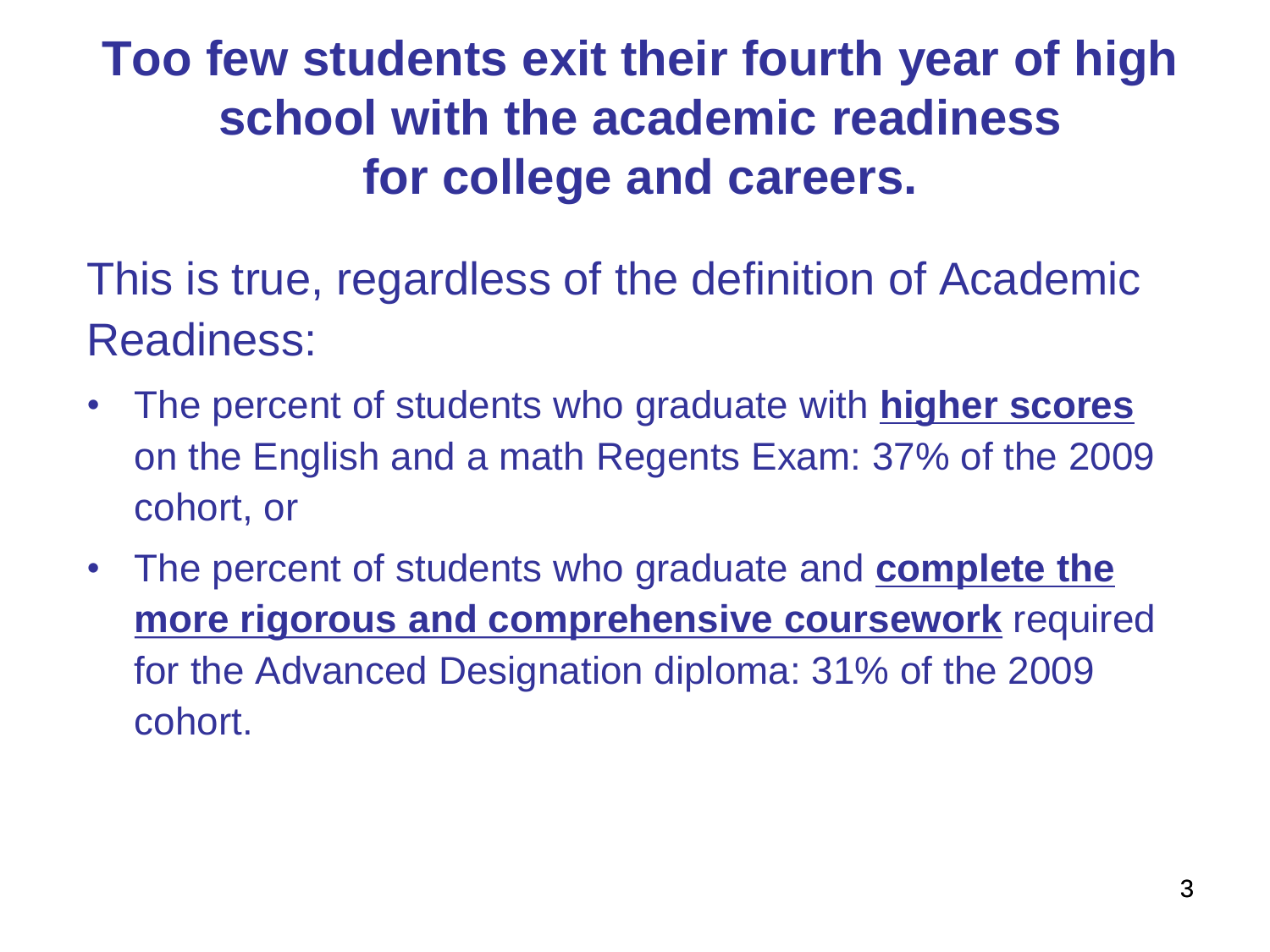**Too few students exit their fourth year of high school with the academic readiness for college and careers.**

This is true, regardless of the definition of Academic Readiness:

- The percent of students who graduate with **higher scores** on the English and a math Regents Exam: 37% of the 2009 cohort, or
- The percent of students who graduate and **complete the more rigorous and comprehensive coursework** required for the Advanced Designation diploma: 31% of the 2009 cohort.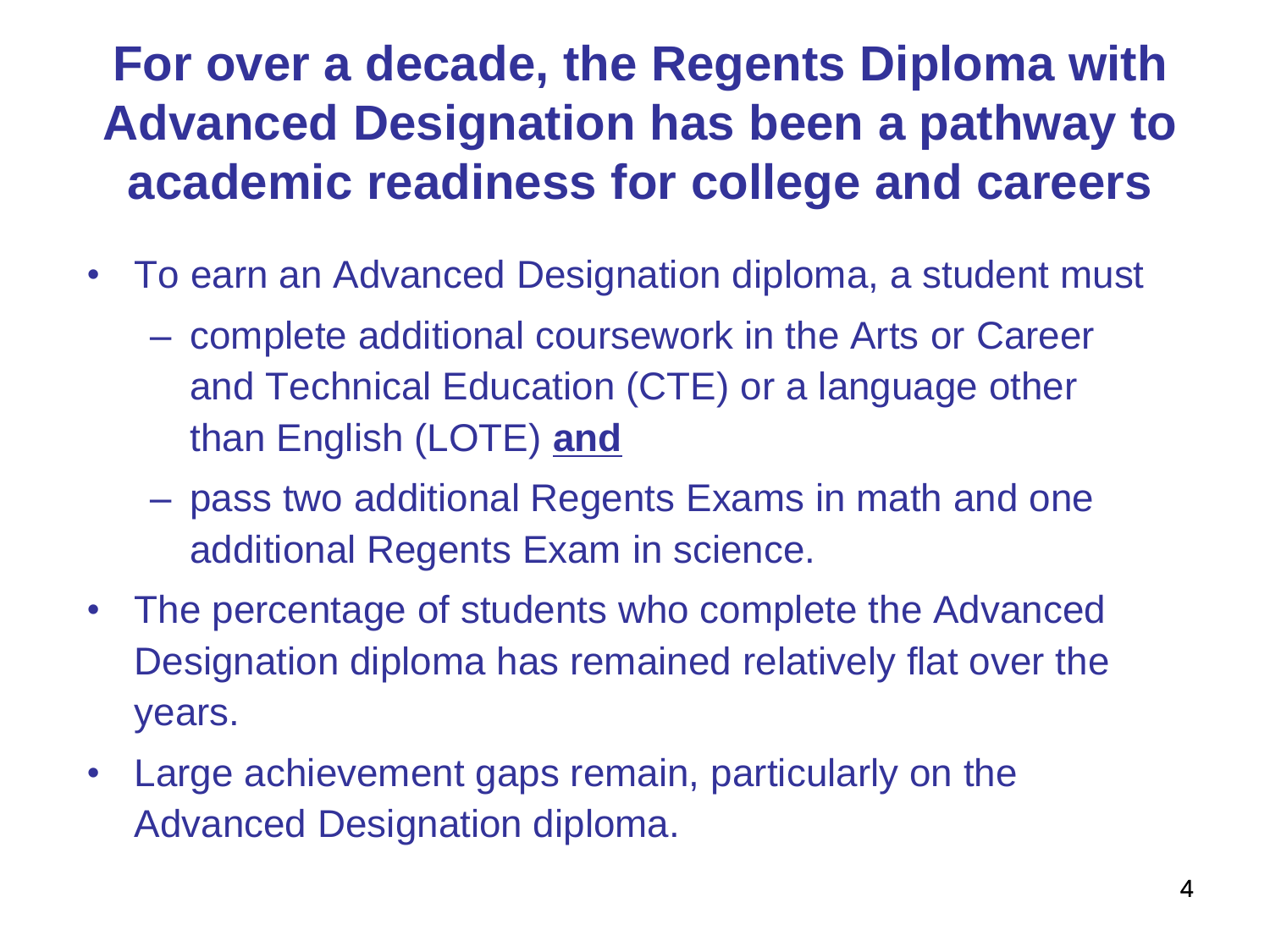### **For over a decade, the Regents Diploma with Advanced Designation has been a pathway to academic readiness for college and careers**

- To earn an Advanced Designation diploma, a student must
	- complete additional coursework in the Arts or Career and Technical Education (CTE) or a language other than English (LOTE) **and**
	- pass two additional Regents Exams in math and one additional Regents Exam in science.
- The percentage of students who complete the Advanced Designation diploma has remained relatively flat over the years.
- Large achievement gaps remain, particularly on the Advanced Designation diploma.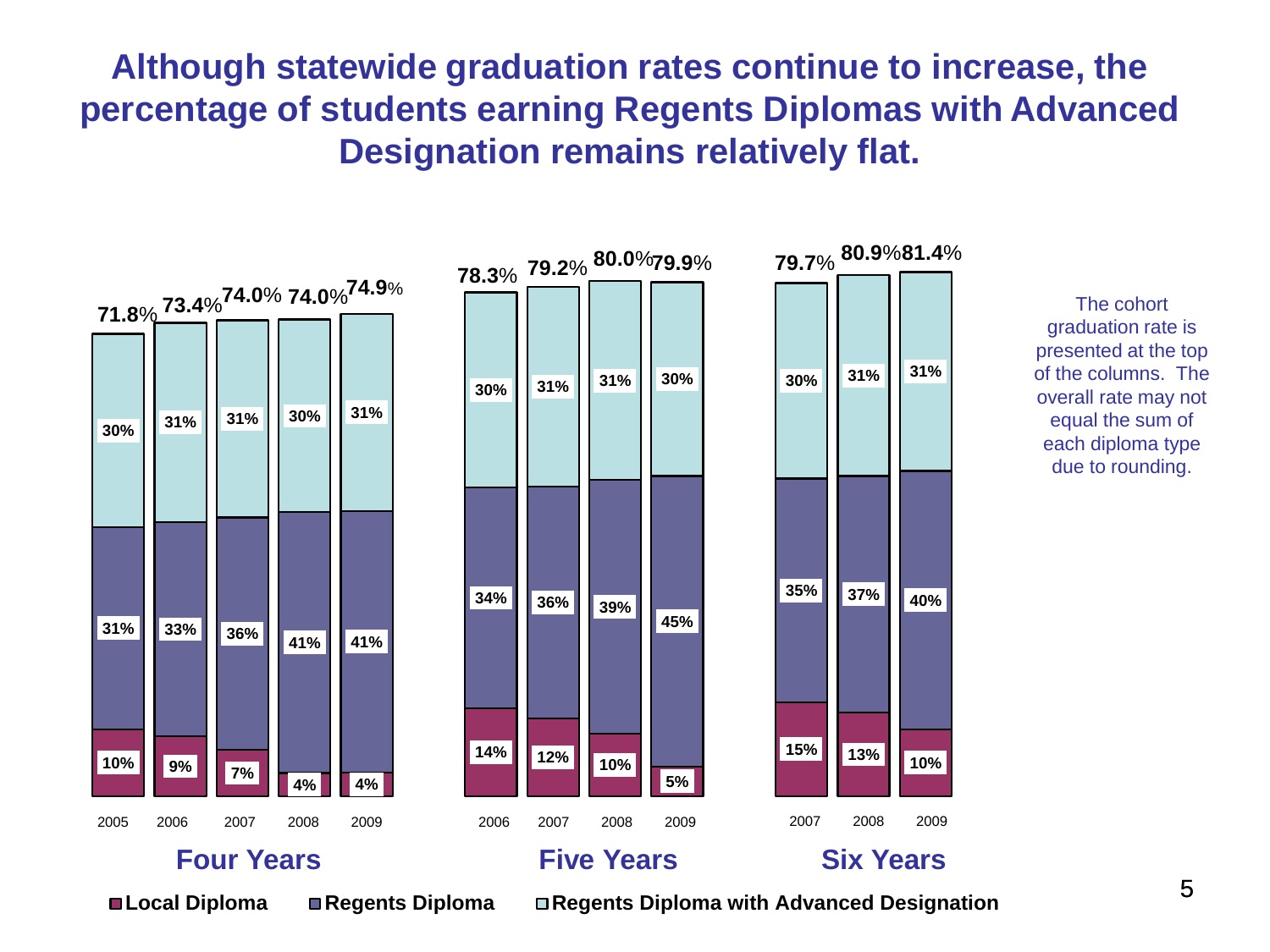**Although statewide graduation rates continue to increase, the percentage of students earning Regents Diplomas with Advanced Designation remains relatively flat.**



5

**Local Diploma Regents Diploma Regents Diploma with Advanced Designation**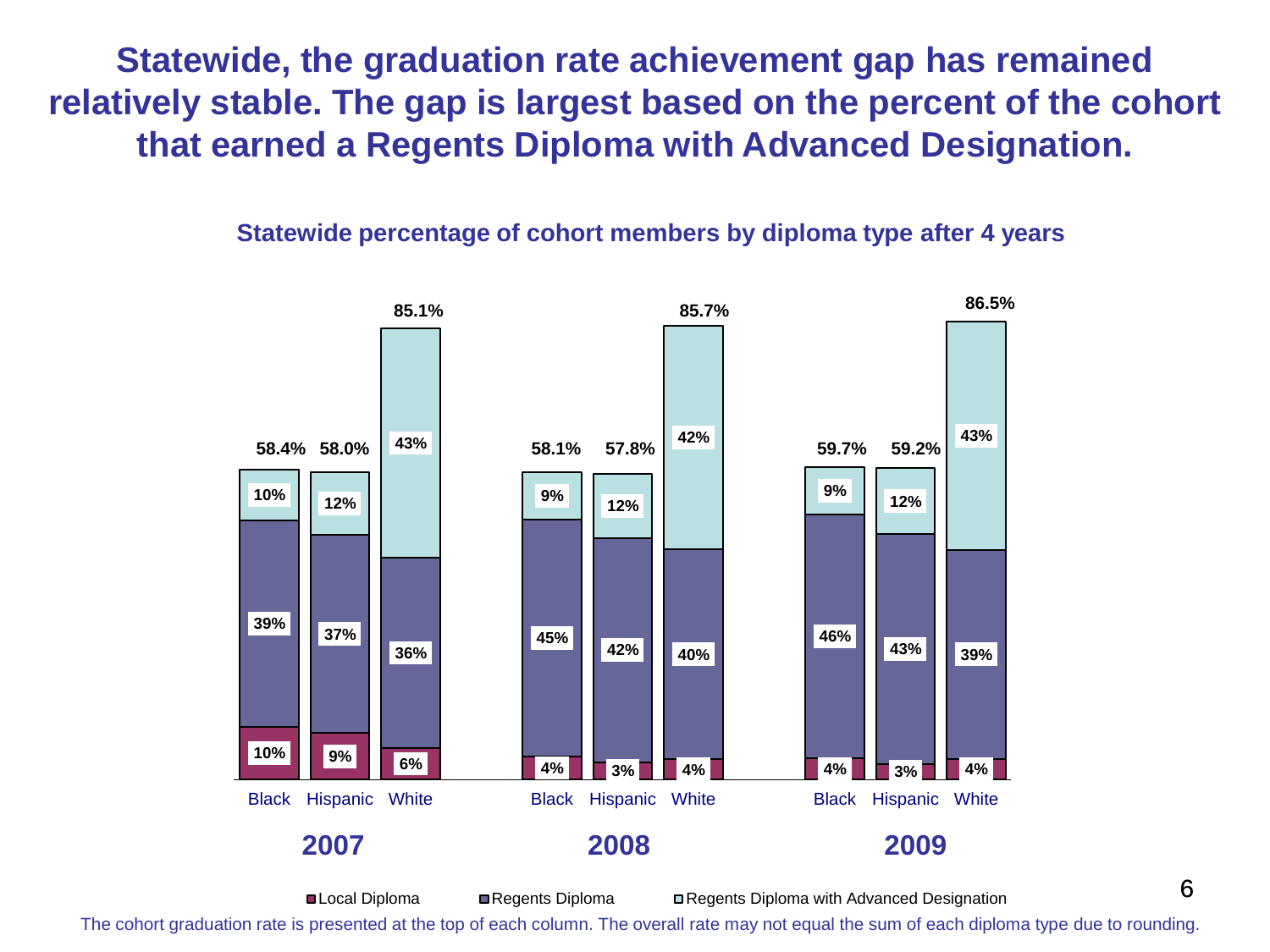**Statewide, the graduation rate achievement gap has remained relatively stable. The gap is largest based on the percent of the cohort that earned a Regents Diploma with Advanced Designation.** 

#### **Statewide percentage of cohort members by diploma type after 4 years**



6 ■Local Diploma ■ Regents Diploma ■ Regents Diploma with Advanced Designation The cohort graduation rate is presented at the top of each column. The overall rate may not equal the sum of each diploma type due to rounding.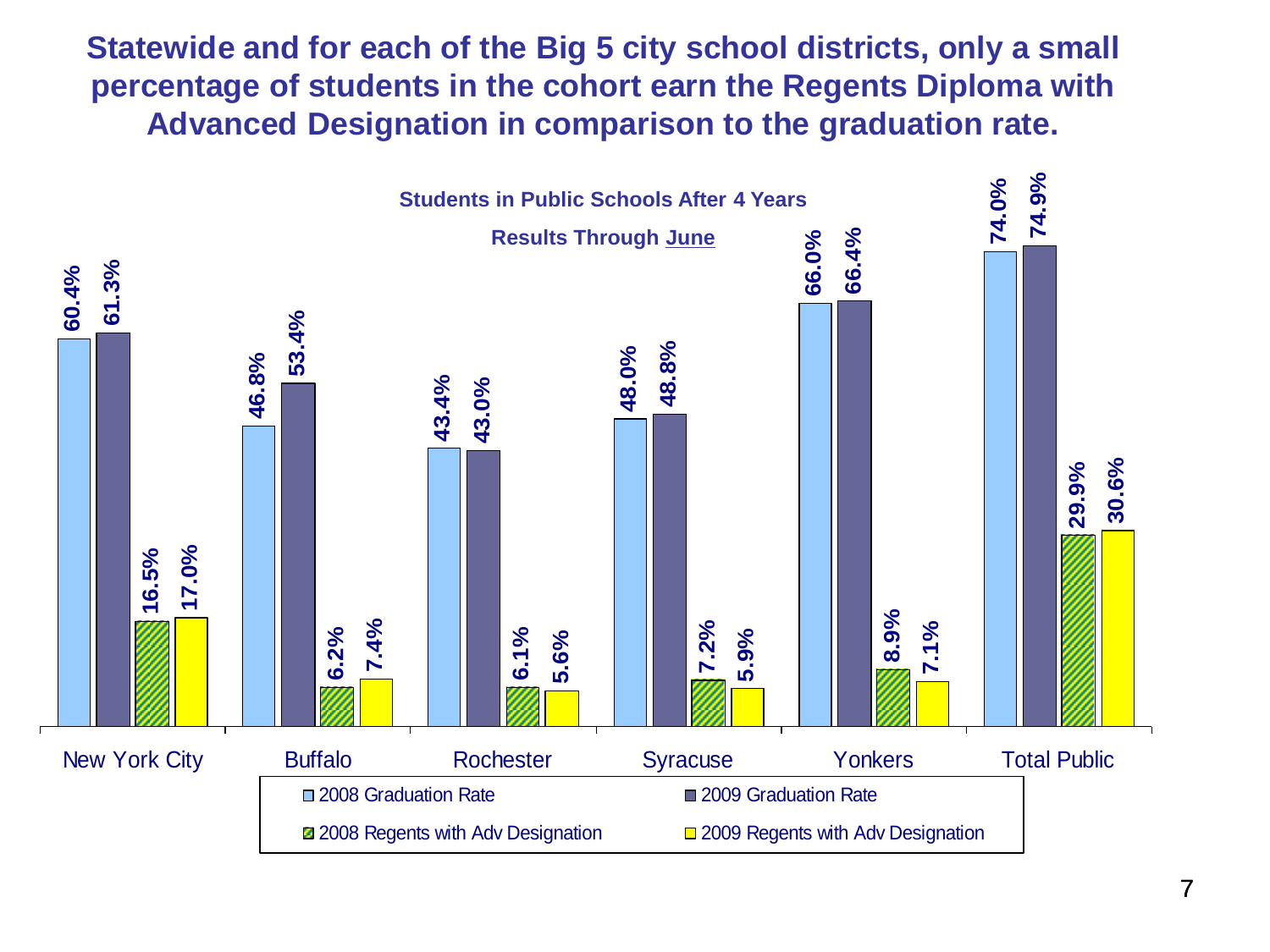**Statewide and for each of the Big 5 city school districts, only a small percentage of students in the cohort earn the Regents Diploma with Advanced Designation in comparison to the graduation rate.**

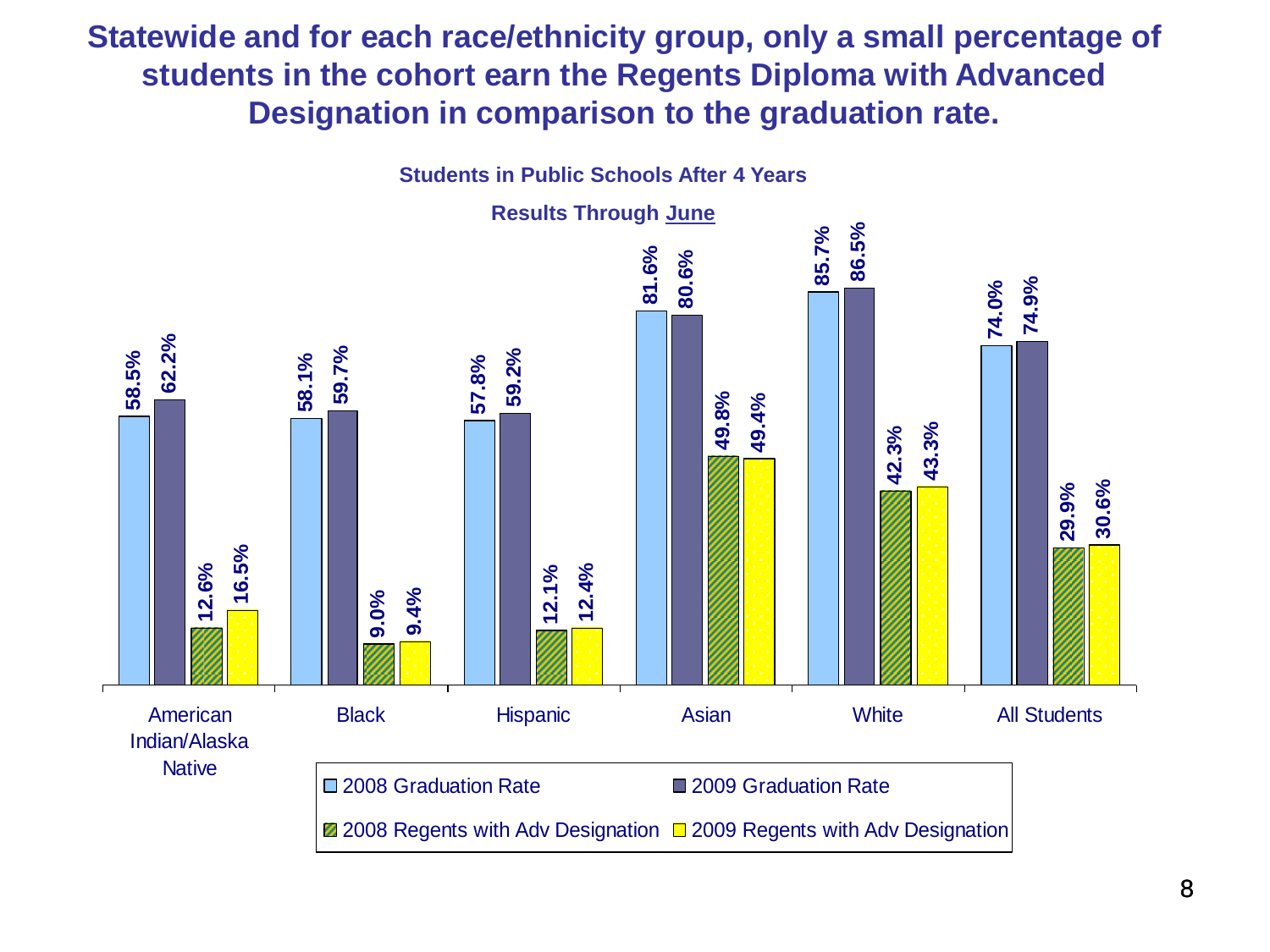**Statewide and for each race/ethnicity group, only a small percentage of students in the cohort earn the Regents Diploma with Advanced Designation in comparison to the graduation rate.**

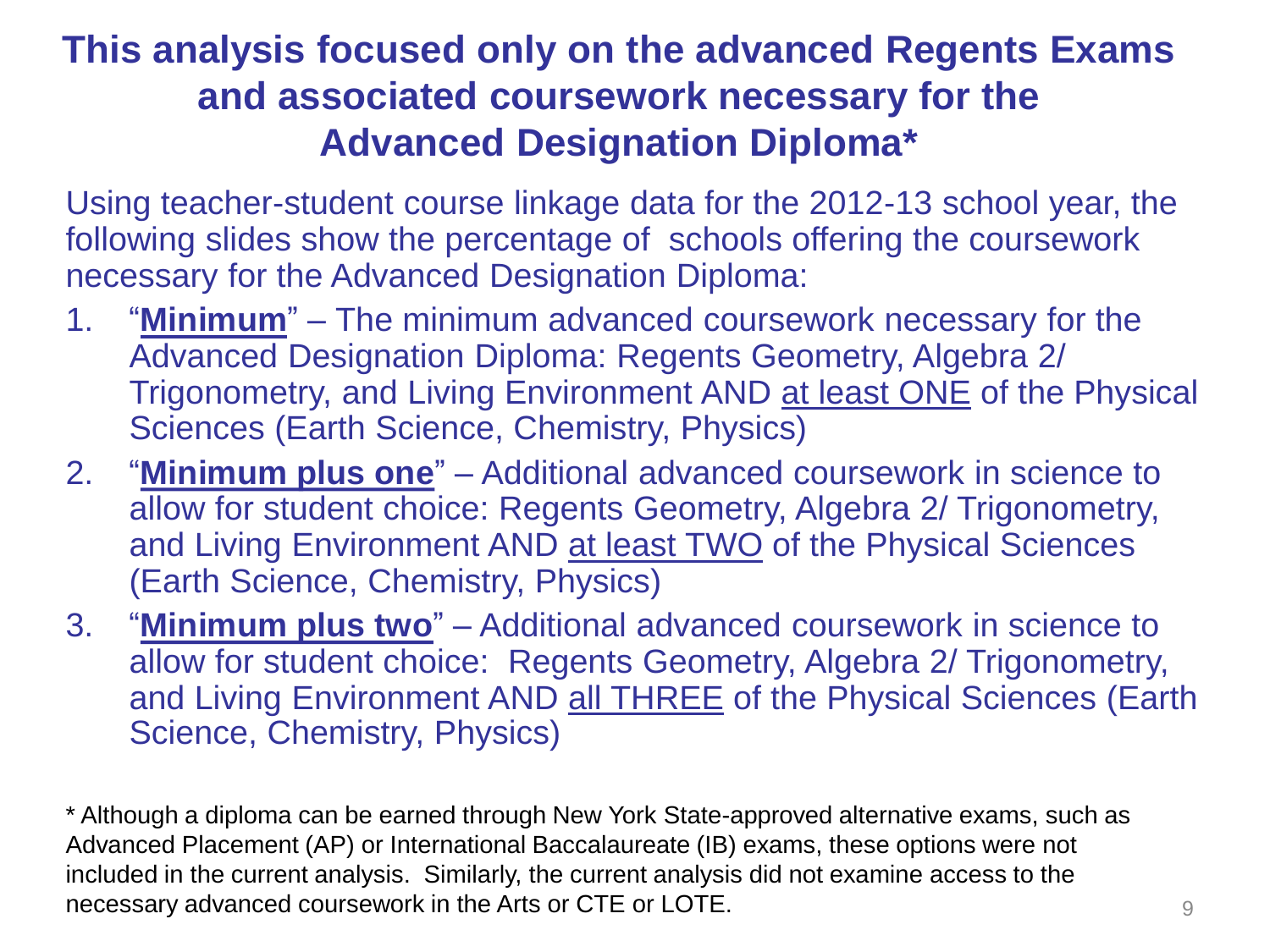### **This analysis focused only on the advanced Regents Exams and associated coursework necessary for the Advanced Designation Diploma\***

Using teacher-student course linkage data for the 2012-13 school year, the following slides show the percentage of schools offering the coursework necessary for the Advanced Designation Diploma:

- 1. "**Minimum**" The minimum advanced coursework necessary for the Advanced Designation Diploma: Regents Geometry, Algebra 2/ Trigonometry, and Living Environment AND at least ONE of the Physical Sciences (Earth Science, Chemistry, Physics)
- 2. "**Minimum plus one**" Additional advanced coursework in science to allow for student choice: Regents Geometry, Algebra 2/ Trigonometry, and Living Environment AND at least TWO of the Physical Sciences (Earth Science, Chemistry, Physics)
- 3. "**Minimum plus two**" Additional advanced coursework in science to allow for student choice: Regents Geometry, Algebra 2/ Trigonometry, and Living Environment AND all THREE of the Physical Sciences (Earth Science, Chemistry, Physics)

\* Although a diploma can be earned through New York State-approved alternative exams, such as Advanced Placement (AP) or International Baccalaureate (IB) exams, these options were not included in the current analysis. Similarly, the current analysis did not examine access to the necessary advanced coursework in the Arts or CTE or LOTE.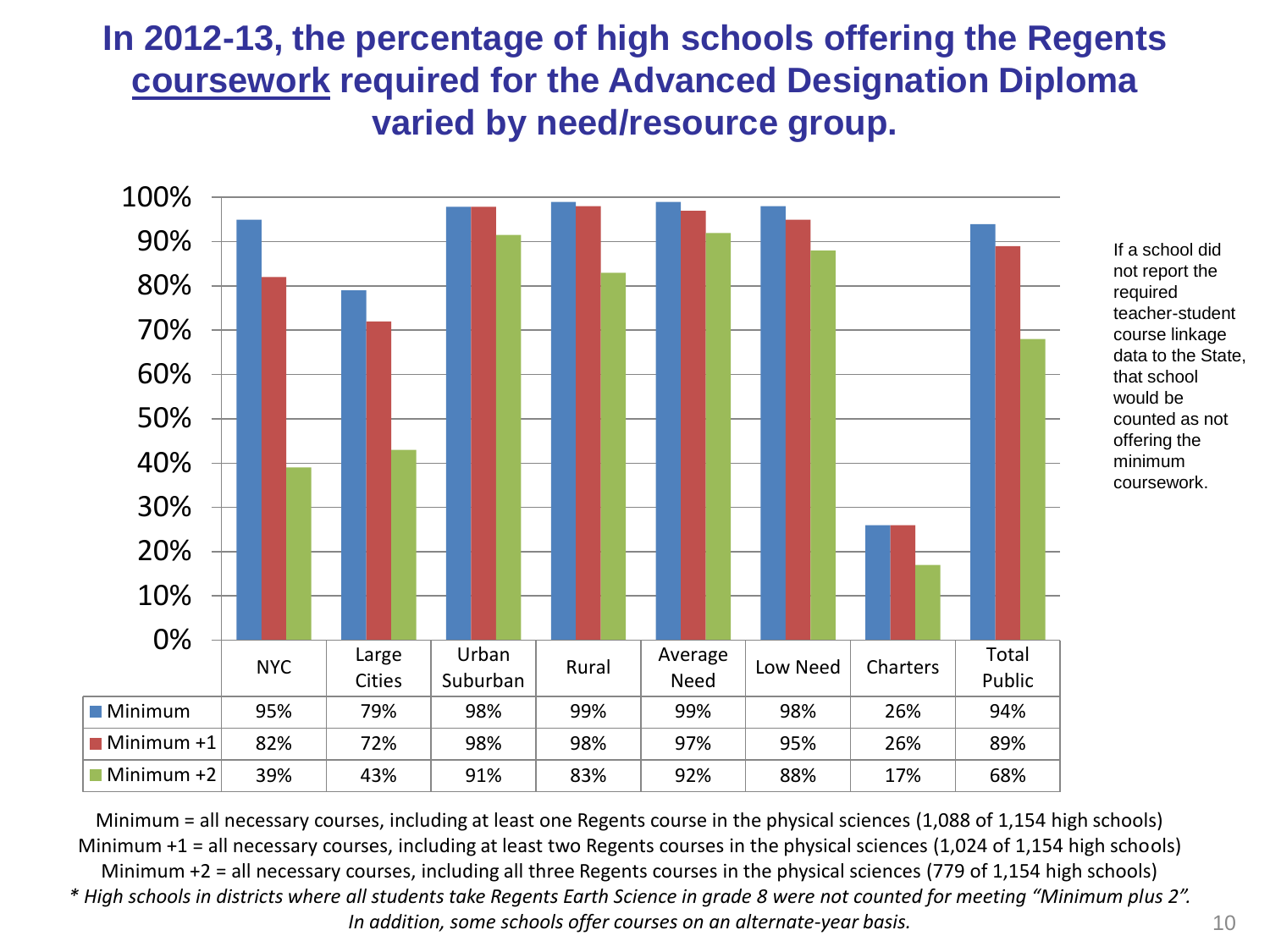#### **In 2012-13, the percentage of high schools offering the Regents coursework required for the Advanced Designation Diploma varied by need/resource group.**



Minimum = all necessary courses, including at least one Regents course in the physical sciences (1,088 of 1,154 high schools) Minimum +1 = all necessary courses, including at least two Regents courses in the physical sciences (1,024 of 1,154 high schools) Minimum +2 = all necessary courses, including all three Regents courses in the physical sciences (779 of 1,154 high schools) *\* High schools in districts where all students take Regents Earth Science in grade 8 were not counted for meeting "Minimum plus 2". In addition, some schools offer courses on an alternate-year basis.* 10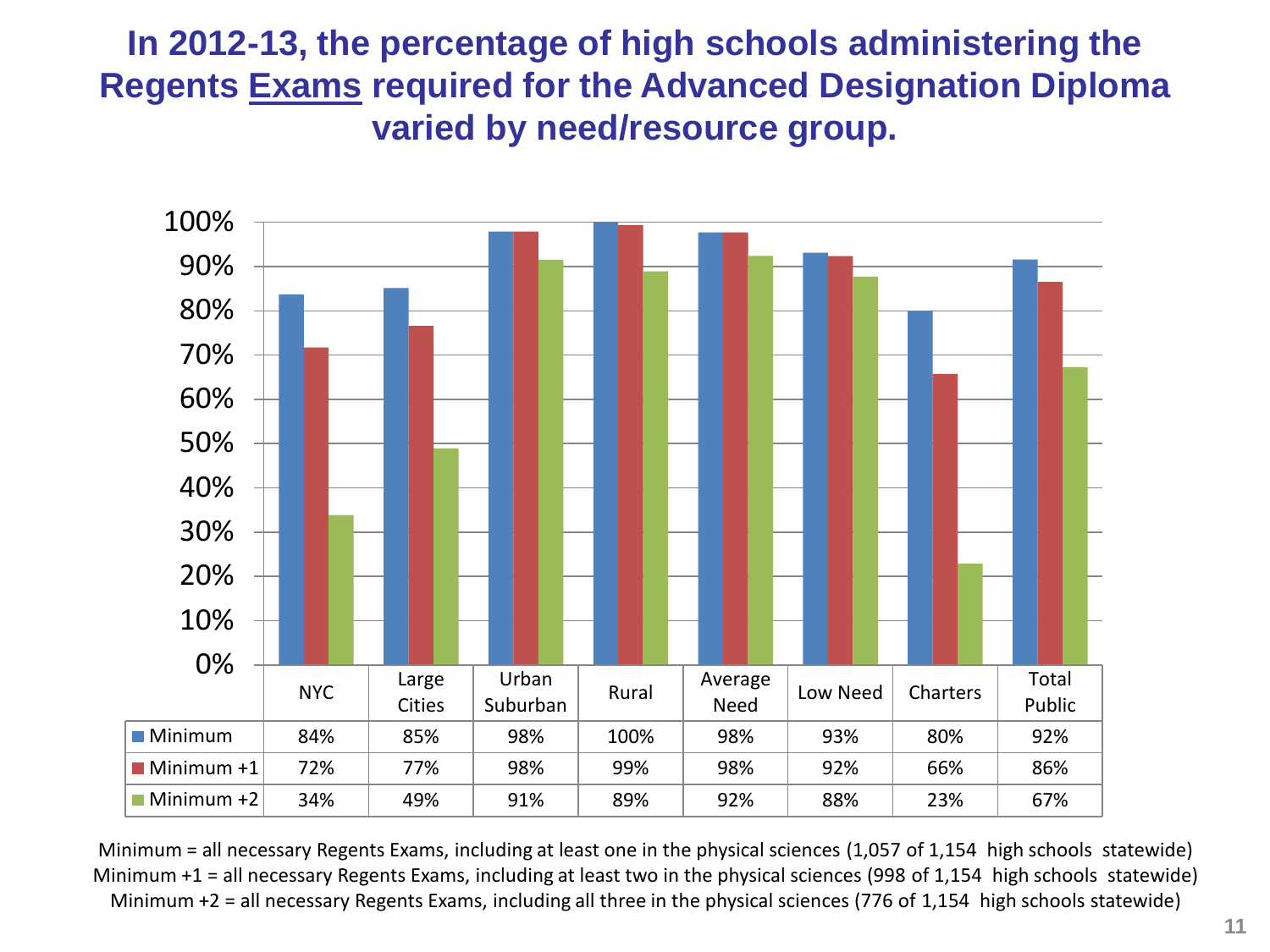#### **In 2012-13, the percentage of high schools administering the Regents Exams required for the Advanced Designation Diploma varied by need/resource group.**



Minimum = all necessary Regents Exams, including at least one in the physical sciences (1,057 of 1,154 high schools statewide) Minimum +1 = all necessary Regents Exams, including at least two in the physical sciences (998 of 1,154 high schools statewide) Minimum +2 = all necessary Regents Exams, including all three in the physical sciences (776 of 1,154 high schools statewide)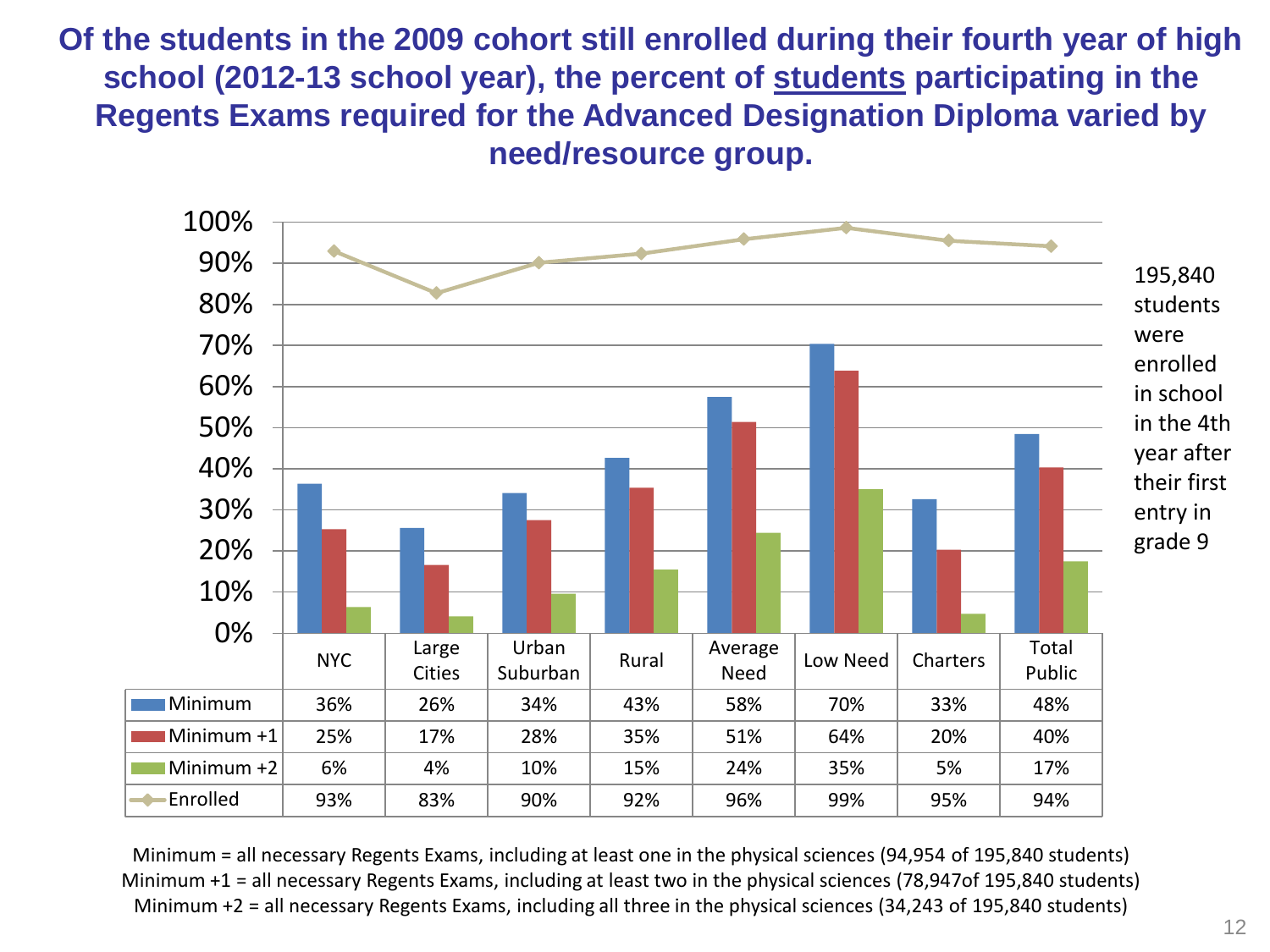**Of the students in the 2009 cohort still enrolled during their fourth year of high school (2012-13 school year), the percent of students participating in the Regents Exams required for the Advanced Designation Diploma varied by need/resource group.**



Minimum = all necessary Regents Exams, including at least one in the physical sciences (94,954 of 195,840 students) Minimum +1 = all necessary Regents Exams, including at least two in the physical sciences (78,947of 195,840 students) Minimum +2 = all necessary Regents Exams, including all three in the physical sciences (34,243 of 195,840 students)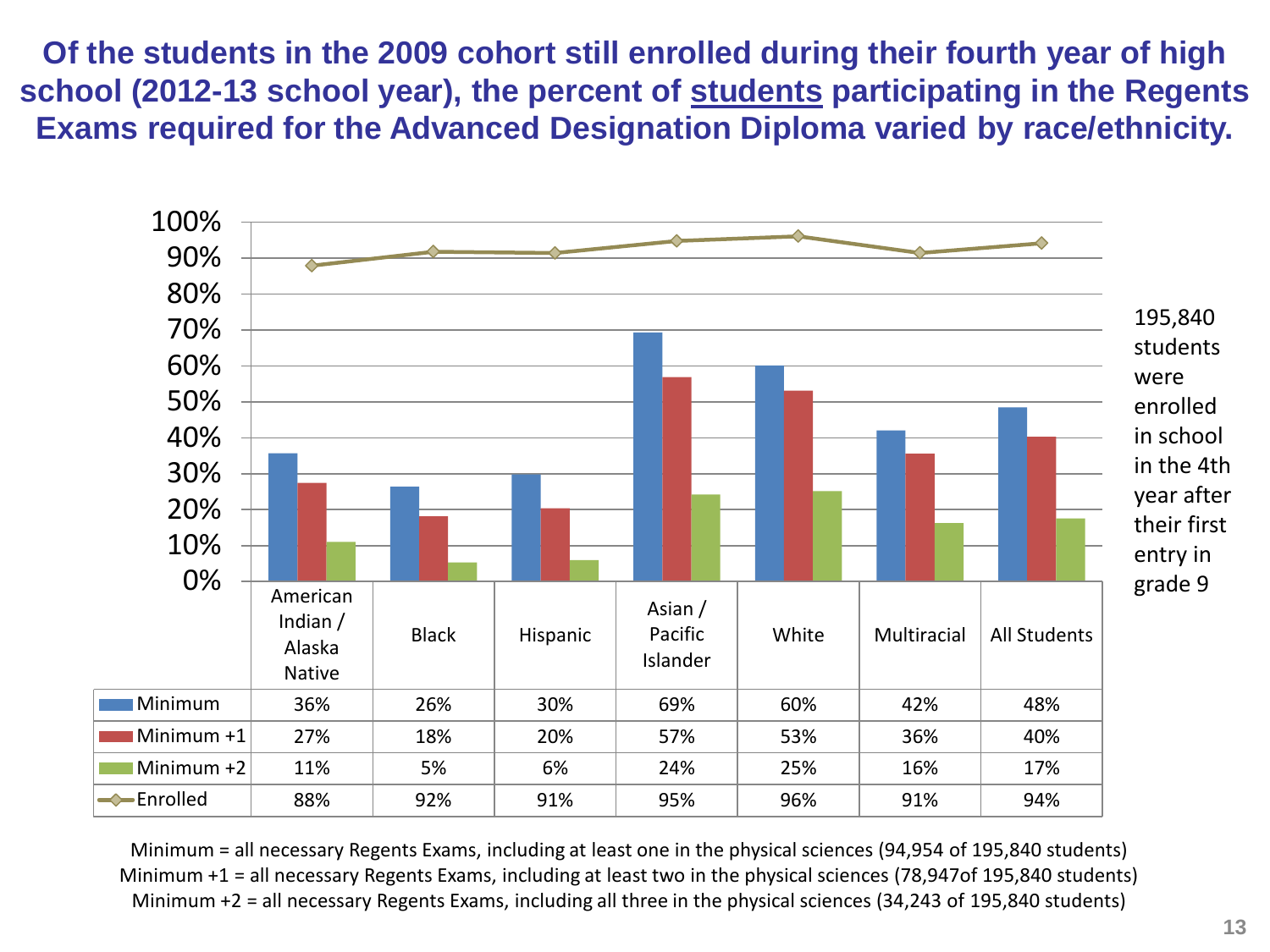**Of the students in the 2009 cohort still enrolled during their fourth year of high school (2012-13 school year), the percent of students participating in the Regents Exams required for the Advanced Designation Diploma varied by race/ethnicity.** 



Minimum = all necessary Regents Exams, including at least one in the physical sciences (94,954 of 195,840 students) Minimum +1 = all necessary Regents Exams, including at least two in the physical sciences (78,947of 195,840 students) Minimum +2 = all necessary Regents Exams, including all three in the physical sciences (34,243 of 195,840 students)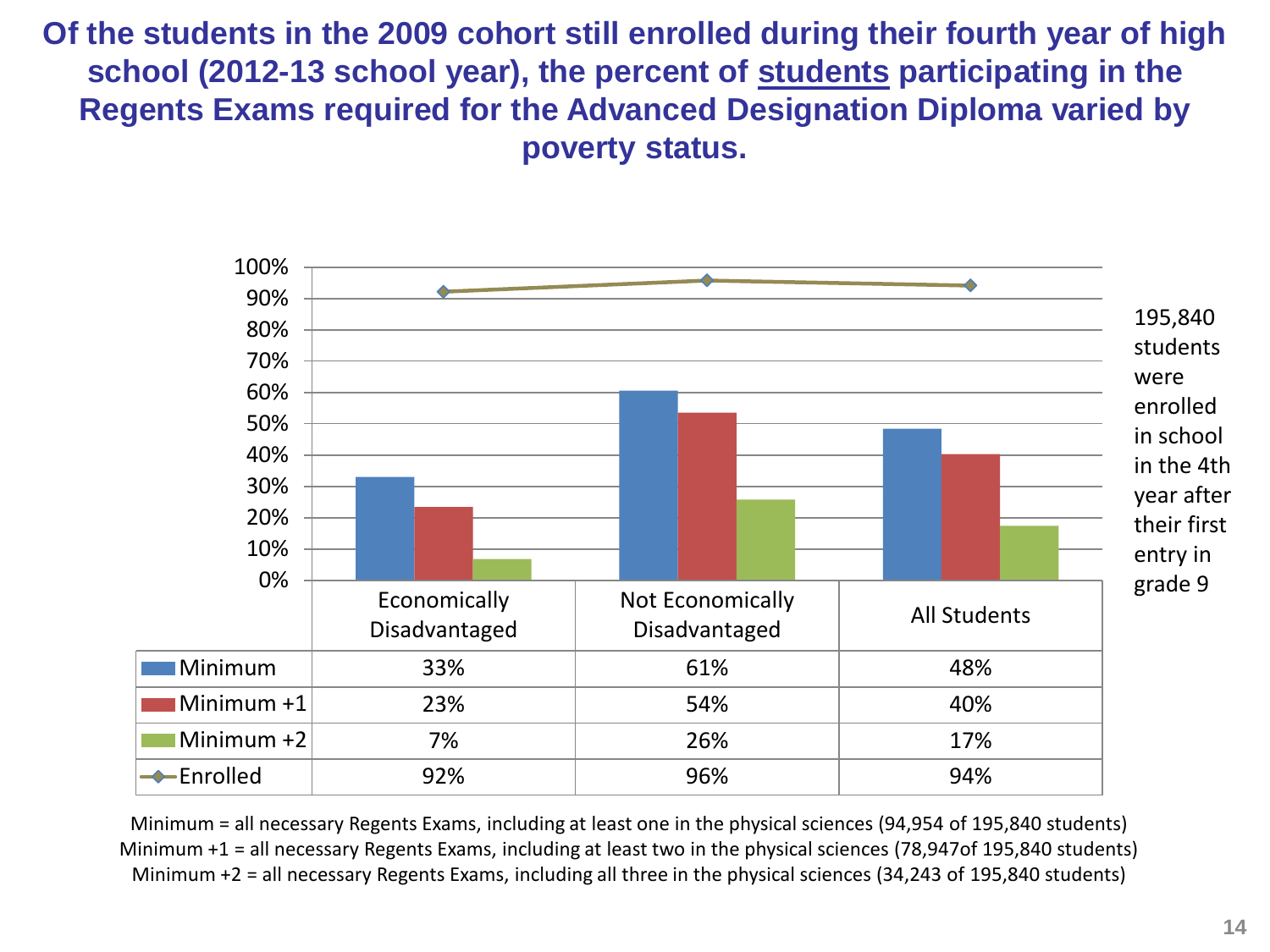**Of the students in the 2009 cohort still enrolled during their fourth year of high school (2012-13 school year), the percent of students participating in the Regents Exams required for the Advanced Designation Diploma varied by poverty status.**



Minimum = all necessary Regents Exams, including at least one in the physical sciences (94,954 of 195,840 students) Minimum +1 = all necessary Regents Exams, including at least two in the physical sciences (78,947of 195,840 students) Minimum +2 = all necessary Regents Exams, including all three in the physical sciences (34,243 of 195,840 students)